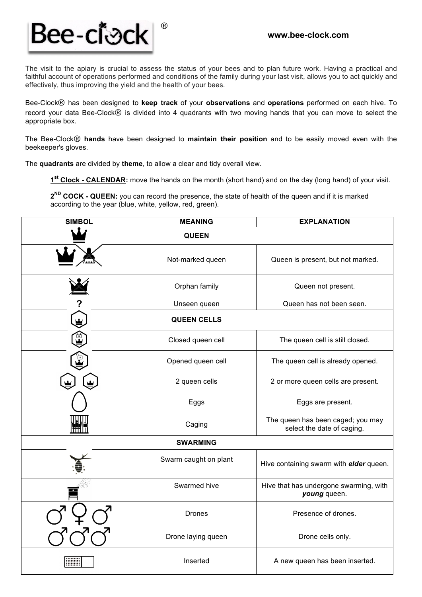

The visit to the apiary is crucial to assess the status of your bees and to plan future work. Having a practical and faithful account of operations performed and conditions of the family during your last visit, allows you to act quickly and effectively, thus improving the yield and the health of your bees.

Bee-Clock® has been designed to **keep track** of your **observations** and **operations** performed on each hive. To record your data Bee-Clock® is divided into 4 quadrants with two moving hands that you can move to select the appropriate box.

The Bee-Clock® **hands** have been designed to **maintain their position** and to be easily moved even with the beekeeper's gloves.

The **quadrants** are divided by **theme**, to allow a clear and tidy overall view.

**1st Clock - CALENDAR:** move the hands on the month (short hand) and on the day (long hand) of your visit.

**2ND COCK - QUEEN:** you can record the presence, the state of health of the queen and if it is marked according to the year (blue, white, yellow, red, green).

| <b>SIMBOL</b>      | <b>MEANING</b>        | <b>EXPLANATION</b>                                              |  |
|--------------------|-----------------------|-----------------------------------------------------------------|--|
|                    | <b>QUEEN</b>          |                                                                 |  |
|                    | Not-marked queen      | Queen is present, but not marked.                               |  |
|                    | Orphan family         | Queen not present.                                              |  |
|                    | Unseen queen          | Queen has not been seen.                                        |  |
| <b>QUEEN CELLS</b> |                       |                                                                 |  |
|                    | Closed queen cell     | The queen cell is still closed.                                 |  |
|                    | Opened queen cell     | The queen cell is already opened.                               |  |
|                    | 2 queen cells         | 2 or more queen cells are present.                              |  |
|                    | Eggs                  | Eggs are present.                                               |  |
|                    | Caging                | The queen has been caged; you may<br>select the date of caging. |  |
| <b>SWARMING</b>    |                       |                                                                 |  |
|                    | Swarm caught on plant | Hive containing swarm with elder queen.                         |  |
|                    | Swarmed hive          | Hive that has undergone swarming, with<br>young queen.          |  |
|                    | <b>Drones</b>         | Presence of drones.                                             |  |
|                    | Drone laying queen    | Drone cells only.                                               |  |
|                    | Inserted              | A new queen has been inserted.                                  |  |